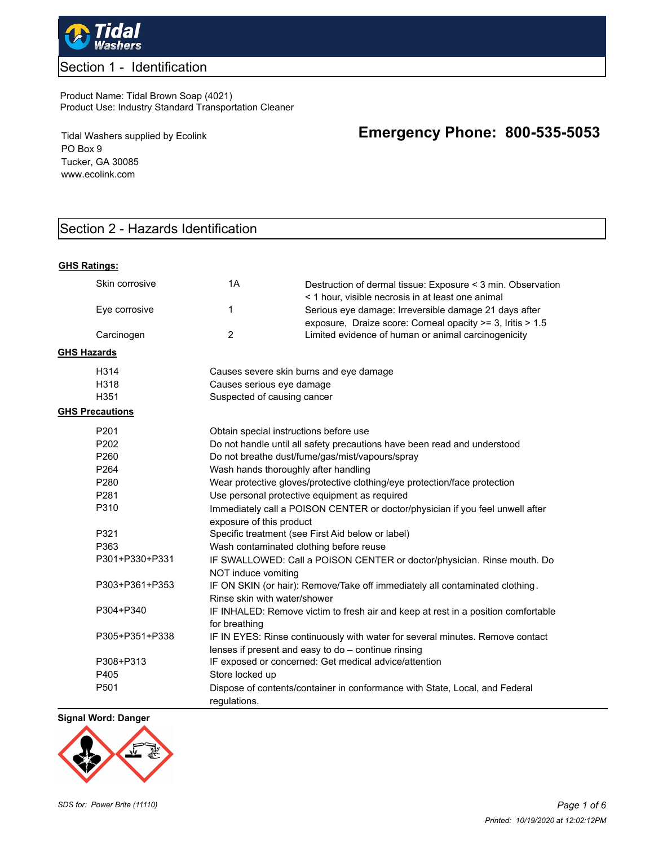

# Section 1 - Identification

#### Product Name: Tidal Brown Soap (4021) Product Use: Industry Standard Transportation Cleaner

Tidal Washers supplied by Ecolink PO Box 9 Tucker, GA 30085 www.ecolink.com

# Section 2 - Hazards Identification

#### **GHS Ratings:**

|                    | Skin corrosive         | 1A                                                                                                        | Destruction of dermal tissue: Exposure < 3 min. Observation<br>< 1 hour, visible necrosis in at least one animal                     |  |
|--------------------|------------------------|-----------------------------------------------------------------------------------------------------------|--------------------------------------------------------------------------------------------------------------------------------------|--|
|                    | Eye corrosive          | 1                                                                                                         | Serious eye damage: Irreversible damage 21 days after<br>exposure, Draize score: Corneal opacity >= 3, Iritis > 1.5                  |  |
|                    | Carcinogen             | $\overline{2}$                                                                                            | Limited evidence of human or animal carcinogenicity                                                                                  |  |
| <b>GHS Hazards</b> |                        |                                                                                                           |                                                                                                                                      |  |
|                    | H314                   |                                                                                                           | Causes severe skin burns and eye damage                                                                                              |  |
|                    | H318                   | Causes serious eye damage                                                                                 |                                                                                                                                      |  |
|                    | H <sub>351</sub>       | Suspected of causing cancer                                                                               |                                                                                                                                      |  |
|                    | <b>GHS Precautions</b> |                                                                                                           |                                                                                                                                      |  |
|                    | P <sub>201</sub>       | Obtain special instructions before use                                                                    |                                                                                                                                      |  |
|                    | P <sub>202</sub>       |                                                                                                           | Do not handle until all safety precautions have been read and understood                                                             |  |
|                    | P <sub>260</sub>       |                                                                                                           | Do not breathe dust/fume/gas/mist/vapours/spray                                                                                      |  |
|                    | P <sub>264</sub>       | Wash hands thoroughly after handling                                                                      |                                                                                                                                      |  |
|                    | P <sub>280</sub>       | Wear protective gloves/protective clothing/eye protection/face protection                                 |                                                                                                                                      |  |
|                    | P <sub>281</sub>       | Use personal protective equipment as required                                                             |                                                                                                                                      |  |
|                    | P310                   | Immediately call a POISON CENTER or doctor/physician if you feel unwell after<br>exposure of this product |                                                                                                                                      |  |
|                    | P321                   | Specific treatment (see First Aid below or label)                                                         |                                                                                                                                      |  |
|                    | P363                   | Wash contaminated clothing before reuse                                                                   |                                                                                                                                      |  |
|                    | P301+P330+P331         | IF SWALLOWED: Call a POISON CENTER or doctor/physician. Rinse mouth. Do<br>NOT induce vomiting            |                                                                                                                                      |  |
|                    | P303+P361+P353         | Rinse skin with water/shower                                                                              | IF ON SKIN (or hair): Remove/Take off immediately all contaminated clothing.                                                         |  |
|                    | P304+P340              | for breathing                                                                                             | IF INHALED: Remove victim to fresh air and keep at rest in a position comfortable                                                    |  |
|                    | P305+P351+P338         |                                                                                                           | IF IN EYES: Rinse continuously with water for several minutes. Remove contact<br>lenses if present and easy to do - continue rinsing |  |
|                    | P308+P313              |                                                                                                           | IF exposed or concerned: Get medical advice/attention                                                                                |  |
|                    | P405                   | Store locked up                                                                                           |                                                                                                                                      |  |
|                    | P <sub>501</sub>       | requlations.                                                                                              | Dispose of contents/container in conformance with State, Local, and Federal                                                          |  |

### **Signal Word: Danger**



# **Emergency Phone: 800-535-5053**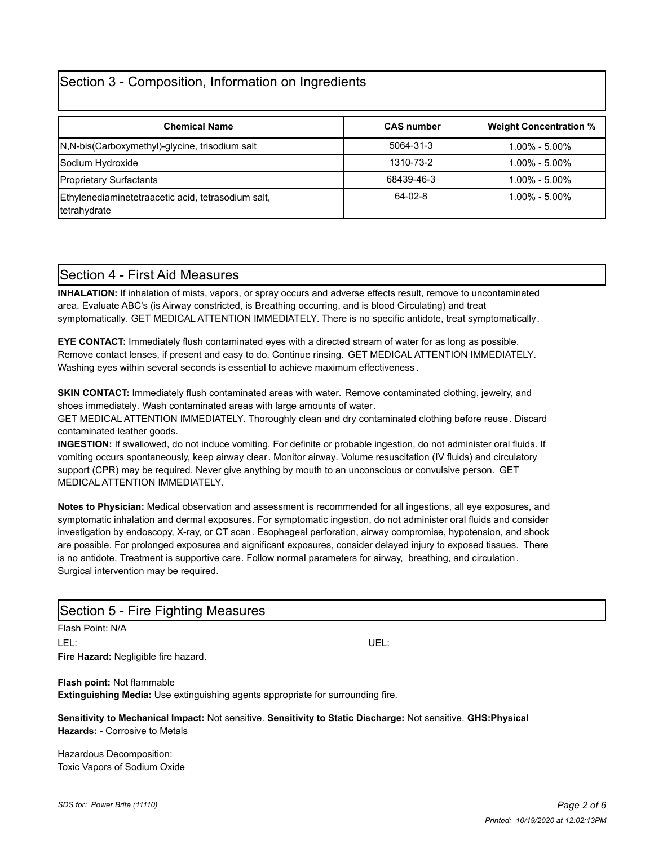# Section 3 - Composition, Information on Ingredients

| <b>Chemical Name</b>                                               | <b>CAS number</b> | <b>Weight Concentration %</b> |
|--------------------------------------------------------------------|-------------------|-------------------------------|
| N,N-bis(Carboxymethyl)-glycine, trisodium salt                     | 5064-31-3         | $1.00\% - 5.00\%$             |
| Sodium Hydroxide                                                   | 1310-73-2         | $1.00\% - 5.00\%$             |
| <b>Proprietary Surfactants</b>                                     | 68439-46-3        | $1.00\% - 5.00\%$             |
| Ethylenediaminetetraacetic acid, tetrasodium salt,<br>tetrahydrate | 64-02-8           | $1.00\% - 5.00\%$             |

## Section 4 - First Aid Measures

**INHALATION:** If inhalation of mists, vapors, or spray occurs and adverse effects result, remove to uncontaminated area. Evaluate ABC's (is Airway constricted, is Breathing occurring, and is blood Circulating) and treat symptomatically. GET MEDICAL ATTENTION IMMEDIATELY. There is no specific antidote, treat symptomatically.

**EYE CONTACT:** Immediately flush contaminated eyes with a directed stream of water for as long as possible. Remove contact lenses, if present and easy to do. Continue rinsing. GET MEDICAL ATTENTION IMMEDIATELY. Washing eyes within several seconds is essential to achieve maximum effectiveness .

**SKIN CONTACT:** Immediately flush contaminated areas with water. Remove contaminated clothing, jewelry, and shoes immediately. Wash contaminated areas with large amounts of water.

GET MEDICAL ATTENTION IMMEDIATELY. Thoroughly clean and dry contaminated clothing before reuse. Discard contaminated leather goods.

**INGESTION:** If swallowed, do not induce vomiting. For definite or probable ingestion, do not administer oral fluids. If vomiting occurs spontaneously, keep airway clear. Monitor airway. Volume resuscitation (IV fluids) and circulatory support (CPR) may be required. Never give anything by mouth to an unconscious or convulsive person. GET MEDICAL ATTENTION IMMEDIATELY.

**Notes to Physician:** Medical observation and assessment is recommended for all ingestions, all eye exposures, and symptomatic inhalation and dermal exposures. For symptomatic ingestion, do not administer oral fluids and consider investigation by endoscopy, X-ray, or CT scan. Esophageal perforation, airway compromise, hypotension, and shock are possible. For prolonged exposures and significant exposures, consider delayed injury to exposed tissues. There is no antidote. Treatment is supportive care. Follow normal parameters for airway, breathing, and circulation. Surgical intervention may be required.

# Section 5 - Fire Fighting Measures

Flash Point: N/A LEL: UEL: **Fire Hazard:** Negligible fire hazard.

**Flash point:** Not flammable

**Extinguishing Media:** Use extinguishing agents appropriate for surrounding fire.

**Sensitivity to Mechanical Impact:** Not sensitive. **Sensitivity to Static Discharge:** Not sensitive. **GHS:Physical Hazards:** - Corrosive to Metals

Hazardous Decomposition: Toxic Vapors of Sodium Oxide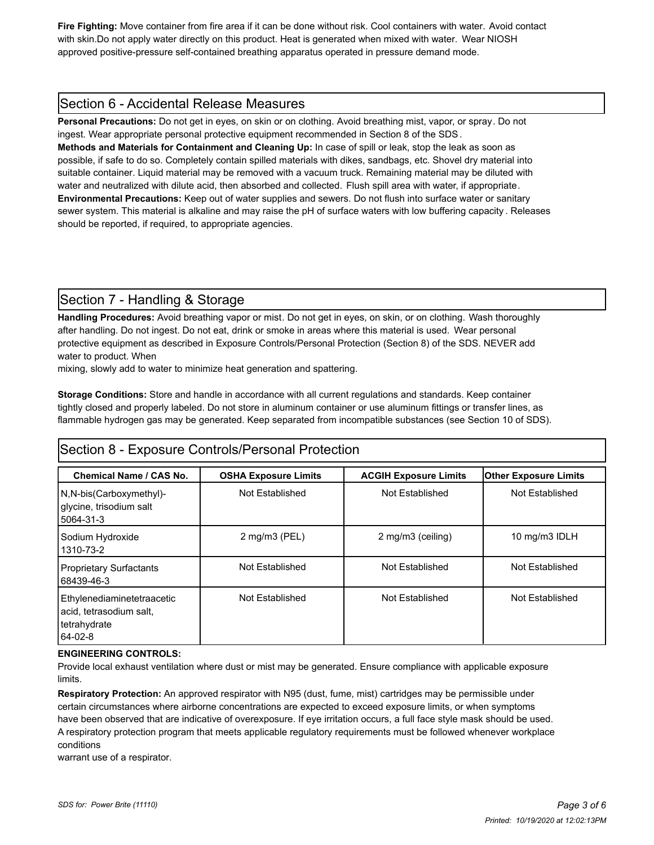**Fire Fighting:** Move container from fire area if it can be done without risk. Cool containers with water. Avoid contact with skin.Do not apply water directly on this product. Heat is generated when mixed with water. Wear NIOSH approved positive-pressure self-contained breathing apparatus operated in pressure demand mode.

## Section 6 - Accidental Release Measures

**Personal Precautions:** Do not get in eyes, on skin or on clothing. Avoid breathing mist, vapor, or spray. Do not ingest. Wear appropriate personal protective equipment recommended in Section 8 of the SDS.

**Methods and Materials for Containment and Cleaning Up:** In case of spill or leak, stop the leak as soon as possible, if safe to do so. Completely contain spilled materials with dikes, sandbags, etc. Shovel dry material into suitable container. Liquid material may be removed with a vacuum truck. Remaining material may be diluted with water and neutralized with dilute acid, then absorbed and collected. Flush spill area with water, if appropriate. **Environmental Precautions:** Keep out of water supplies and sewers. Do not flush into surface water or sanitary sewer system. This material is alkaline and may raise the pH of surface waters with low buffering capacity . Releases should be reported, if required, to appropriate agencies.

# Section 7 - Handling & Storage

**Handling Procedures:** Avoid breathing vapor or mist. Do not get in eyes, on skin, or on clothing. Wash thoroughly after handling. Do not ingest. Do not eat, drink or smoke in areas where this material is used. Wear personal protective equipment as described in Exposure Controls/Personal Protection (Section 8) of the SDS. NEVER add water to product. When

mixing, slowly add to water to minimize heat generation and spattering.

**Storage Conditions:** Store and handle in accordance with all current regulations and standards. Keep container tightly closed and properly labeled. Do not store in aluminum container or use aluminum fittings or transfer lines, as flammable hydrogen gas may be generated. Keep separated from incompatible substances (see Section 10 of SDS).

## Section 8 - Exposure Controls/Personal Protection

| Chemical Name / CAS No.                                                          | <b>OSHA Exposure Limits</b>        | <b>ACGIH Exposure Limits</b> | <b>Other Exposure Limits</b> |
|----------------------------------------------------------------------------------|------------------------------------|------------------------------|------------------------------|
| N,N-bis(Carboxymethyl)-<br>glycine, trisodium salt<br>5064-31-3                  | Not Established                    | Not Established              | Not Established              |
| Sodium Hydroxide<br>1310-73-2                                                    | $2 \text{ mg/m}$ $3 \text{ (PEL)}$ | 2 mg/m3 (ceiling)            | 10 mg/m3 IDLH                |
| <b>Proprietary Surfactants</b><br>68439-46-3                                     | Not Established                    | Not Established              | Not Established              |
| Ethylenediaminetetraacetic<br>acid, tetrasodium salt,<br>tetrahydrate<br>64-02-8 | Not Established                    | Not Established              | Not Established              |

### **ENGINEERING CONTROLS:**

Provide local exhaust ventilation where dust or mist may be generated. Ensure compliance with applicable exposure limits.

**Respiratory Protection:** An approved respirator with N95 (dust, fume, mist) cartridges may be permissible under certain circumstances where airborne concentrations are expected to exceed exposure limits, or when symptoms have been observed that are indicative of overexposure. If eye irritation occurs, a full face style mask should be used. A respiratory protection program that meets applicable regulatory requirements must be followed whenever workplace conditions

warrant use of a respirator.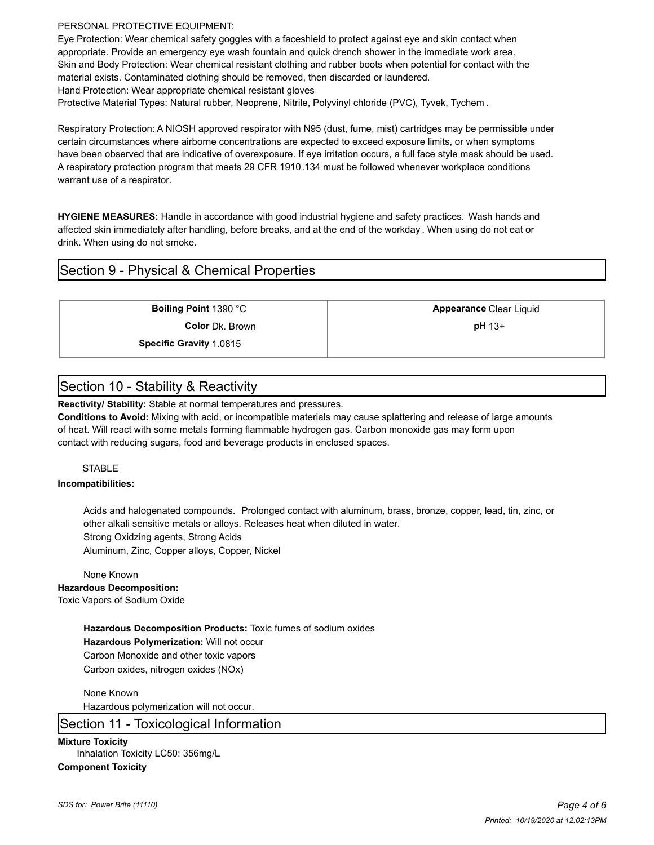#### PERSONAL PROTECTIVE EQUIPMENT:

Eye Protection: Wear chemical safety goggles with a faceshield to protect against eye and skin contact when appropriate. Provide an emergency eye wash fountain and quick drench shower in the immediate work area. Skin and Body Protection: Wear chemical resistant clothing and rubber boots when potential for contact with the material exists. Contaminated clothing should be removed, then discarded or laundered.

Hand Protection: Wear appropriate chemical resistant gloves

Protective Material Types: Natural rubber, Neoprene, Nitrile, Polyvinyl chloride (PVC), Tyvek, Tychem .

Respiratory Protection: A NIOSH approved respirator with N95 (dust, fume, mist) cartridges may be permissible under certain circumstances where airborne concentrations are expected to exceed exposure limits, or when symptoms have been observed that are indicative of overexposure. If eye irritation occurs, a full face style mask should be used. A respiratory protection program that meets 29 CFR 1910.134 must be followed whenever workplace conditions warrant use of a respirator.

**HYGIENE MEASURES:** Handle in accordance with good industrial hygiene and safety practices. Wash hands and affected skin immediately after handling, before breaks, and at the end of the workday . When using do not eat or drink. When using do not smoke.

## Section 9 - Physical & Chemical Properties

**Color** Dk. Brown **pH** 13+

**Boiling Point** 1390 °C **Appearance** Clear Liquid

**Specific Gravity** 1.0815

## Section 10 - Stability & Reactivity

**Reactivity/ Stability:** Stable at normal temperatures and pressures.

**Conditions to Avoid:** Mixing with acid, or incompatible materials may cause splattering and release of large amounts of heat. Will react with some metals forming flammable hydrogen gas. Carbon monoxide gas may form upon contact with reducing sugars, food and beverage products in enclosed spaces.

#### **STABLE**

#### **Incompatibilities:**

Acids and halogenated compounds. Prolonged contact with aluminum, brass, bronze, copper, lead, tin, zinc, or other alkali sensitive metals or alloys. Releases heat when diluted in water. Strong Oxidzing agents, Strong Acids

Aluminum, Zinc, Copper alloys, Copper, Nickel

None Known **Hazardous Decomposition:** Toxic Vapors of Sodium Oxide

> **Hazardous Decomposition Products:** Toxic fumes of sodium oxides **Hazardous Polymerization:** Will not occur Carbon Monoxide and other toxic vapors Carbon oxides, nitrogen oxides (NOx)

None Known Hazardous polymerization will not occur.

## Section 11 - Toxicological Information

**Mixture Toxicity**

Inhalation Toxicity LC50: 356mg/L

### **Component Toxicity**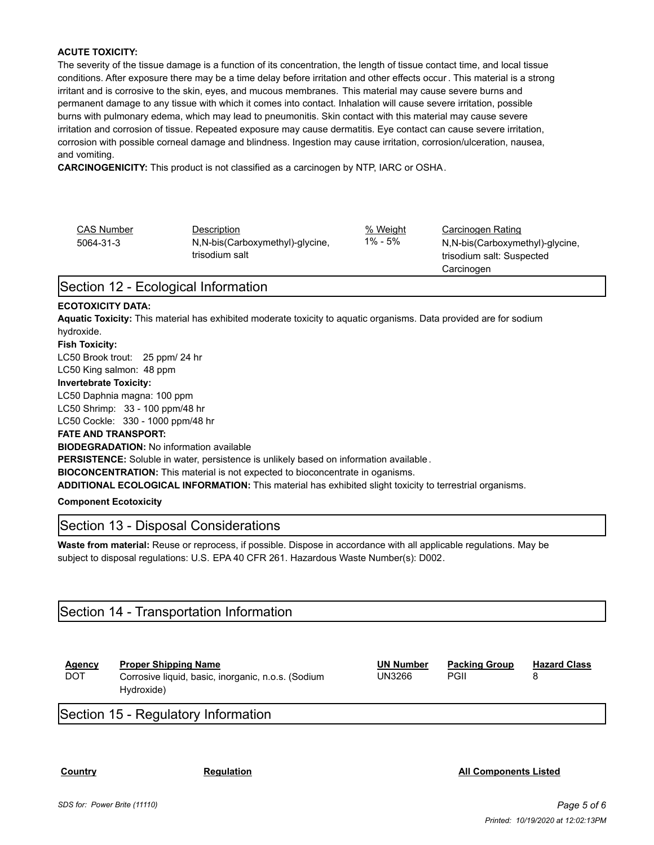#### **ACUTE TOXICITY:**

The severity of the tissue damage is a function of its concentration, the length of tissue contact time, and local tissue conditions. After exposure there may be a time delay before irritation and other effects occur . This material is a strong irritant and is corrosive to the skin, eyes, and mucous membranes. This material may cause severe burns and permanent damage to any tissue with which it comes into contact. Inhalation will cause severe irritation, possible burns with pulmonary edema, which may lead to pneumonitis. Skin contact with this material may cause severe irritation and corrosion of tissue. Repeated exposure may cause dermatitis. Eye contact can cause severe irritation, corrosion with possible corneal damage and blindness. Ingestion may cause irritation, corrosion/ulceration, nausea, and vomiting.

**CARCINOGENICITY:** This product is not classified as a carcinogen by NTP, IARC or OSHA.

| <b>CAS Number</b> | Description                                         | % Weight | Carcinogen Rating               |
|-------------------|-----------------------------------------------------|----------|---------------------------------|
| 5064-31-3         | N, N-bis (Carboxymethyl)-glycine,<br>trisodium salt | 1% - 5%  | N,N-bis(Carboxymethyl)-glycine, |
|                   |                                                     |          | trisodium salt: Suspected       |
|                   |                                                     |          | Carcinogen                      |

## Section 12 - Ecological Information

#### **ECOTOXICITY DATA:**

**Aquatic Toxicity:** This material has exhibited moderate toxicity to aquatic organisms. Data provided are for sodium hydroxide.

## **Fish Toxicity:**

LC50 Brook trout: 25 ppm/ 24 hr

LC50 King salmon: 48 ppm

#### **Invertebrate Toxicity:**

LC50 Daphnia magna: 100 ppm LC50 Shrimp: 33 - 100 ppm/48 hr

LC50 Cockle: 330 - 1000 ppm/48 hr

#### **FATE AND TRANSPORT:**

**BIODEGRADATION:** No information available

**PERSISTENCE:** Soluble in water, persistence is unlikely based on information available .

**BIOCONCENTRATION:** This material is not expected to bioconcentrate in oganisms.

**ADDITIONAL ECOLOGICAL INFORMATION:** This material has exhibited slight toxicity to terrestrial organisms.

**Component Ecotoxicity**

## Section 13 - Disposal Considerations

**Waste from material:** Reuse or reprocess, if possible. Dispose in accordance with all applicable regulations. May be subject to disposal regulations: U.S. EPA 40 CFR 261. Hazardous Waste Number(s): D002.

## Section 14 - Transportation Information

| <b>Proper Shipping Name</b><br><b>UN Number</b><br><b>Packing Group</b><br>Agency<br><b>DOT</b><br>PGII<br>UN3266<br>Corrosive liquid, basic, inorganic, n.o.s. (Sodium<br>Hydroxide) | <b>Hazard Class</b> |
|---------------------------------------------------------------------------------------------------------------------------------------------------------------------------------------|---------------------|
|---------------------------------------------------------------------------------------------------------------------------------------------------------------------------------------|---------------------|

Section 15 - Regulatory Information

**Country Regulation All Components Listed**